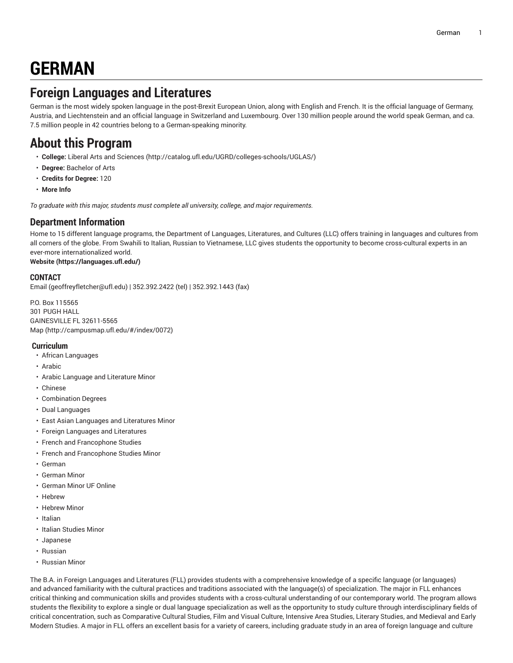# **GERMAN**

## **Foreign Languages and Literatures**

German is the most widely spoken language in the post-Brexit European Union, along with English and French. It is the official language of Germany, Austria, and Liechtenstein and an official language in Switzerland and Luxembourg. Over 130 million people around the world speak German, and ca. 7.5 million people in 42 countries belong to a German-speaking minority.

## **About this Program**

- **College:** Liberal Arts and [Sciences](http://catalog.ufl.edu/UGRD/colleges-schools/UGLAS/) ([http://catalog.ufl.edu/UGRD/colleges-schools/UGLAS/\)](http://catalog.ufl.edu/UGRD/colleges-schools/UGLAS/)
- **Degree:** Bachelor of Arts
- **Credits for Degree:** 120
- **More Info**

*To graduate with this major, students must complete all university, college, and major requirements.*

#### **Department Information**

Home to 15 different language programs, the Department of Languages, Literatures, and Cultures (LLC) offers training in languages and cultures from all corners of the globe. From Swahili to Italian, Russian to Vietnamese, LLC gives students the opportunity to become cross-cultural experts in an ever-more internationalized world.

#### **[Website](https://languages.ufl.edu/) ([https://languages.ufl.edu/\)](https://languages.ufl.edu/)**

#### **CONTACT**

[Email](mailto:geoffreyfletcher@ufl.edu) ([geoffreyfletcher@ufl.edu\)](geoffreyfletcher@ufl.edu) | 352.392.2422 (tel) | 352.392.1443 (fax)

P.O. Box 115565 301 PUGH HALL GAINESVILLE FL 32611-5565 [Map](http://campusmap.ufl.edu/#/index/0072) ([http://campusmap.ufl.edu/#/index/0072\)](http://campusmap.ufl.edu/#/index/0072)

#### **Curriculum**

- African Languages
- Arabic
- Arabic Language and Literature Minor
- Chinese
- Combination Degrees
- Dual Languages
- East Asian Languages and Literatures Minor
- Foreign Languages and Literatures
- French and Francophone Studies
- French and Francophone Studies Minor
- German
- German Minor
- German Minor UF Online
- Hebrew
- Hebrew Minor
- Italian
- Italian Studies Minor
- Japanese
- Russian
- Russian Minor

The B.A. in Foreign Languages and Literatures (FLL) provides students with a comprehensive knowledge of a specific language (or languages) and advanced familiarity with the cultural practices and traditions associated with the language(s) of specialization. The major in FLL enhances critical thinking and communication skills and provides students with a cross-cultural understanding of our contemporary world. The program allows students the flexibility to explore a single or dual language specialization as well as the opportunity to study culture through interdisciplinary fields of critical concentration, such as Comparative Cultural Studies, Film and Visual Culture, Intensive Area Studies, Literary Studies, and Medieval and Early Modern Studies. A major in FLL offers an excellent basis for a variety of careers, including graduate study in an area of foreign language and culture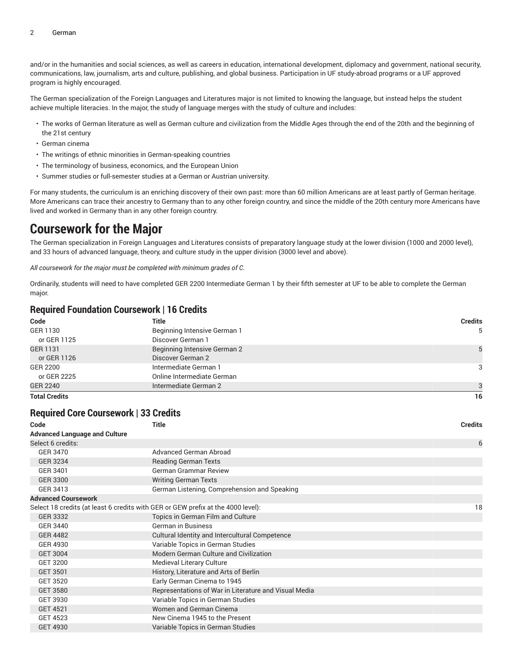and/or in the humanities and social sciences, as well as careers in education, international development, diplomacy and government, national security, communications, law, journalism, arts and culture, publishing, and global business. Participation in UF study-abroad programs or a UF approved program is highly encouraged.

The German specialization of the Foreign Languages and Literatures major is not limited to knowing the language, but instead helps the student achieve multiple literacies. In the major, the study of language merges with the study of culture and includes:

- The works of German literature as well as German culture and civilization from the Middle Ages through the end of the 20th and the beginning of the 21st century
- German cinema
- The writings of ethnic minorities in German-speaking countries
- The terminology of business, economics, and the European Union
- Summer studies or full-semester studies at a German or Austrian university.

For many students, the curriculum is an enriching discovery of their own past: more than 60 million Americans are at least partly of German heritage. More Americans can trace their ancestry to Germany than to any other foreign country, and since the middle of the 20th century more Americans have lived and worked in Germany than in any other foreign country.

## **Coursework for the Major**

The German specialization in Foreign Languages and Literatures consists of preparatory language study at the lower division (1000 and 2000 level), and 33 hours of advanced language, theory, and culture study in the upper division (3000 level and above).

*All coursework for the major must be completed with minimum grades of C.*

Ordinarily, students will need to have completed GER 2200 Intermediate German 1 by their fifth semester at UF to be able to complete the German major.

#### **Required Foundation Coursework | 16 Credits**

| Code                 | Title                        | <b>Credits</b> |
|----------------------|------------------------------|----------------|
| GER 1130             | Beginning Intensive German 1 | 5              |
| or GER 1125          | Discover German 1            |                |
| GER 1131             | Beginning Intensive German 2 | 5              |
| or GER 1126          | Discover German 2            |                |
| GER 2200             | Intermediate German 1        | 3              |
| or GER 2225          | Online Intermediate German   |                |
| <b>GER 2240</b>      | Intermediate German 2        | 3              |
| <b>Total Credits</b> |                              | 16             |

#### **Required Core Coursework | 33 Credits**

| <b>Title</b>                                                                     | <b>Credits</b> |
|----------------------------------------------------------------------------------|----------------|
|                                                                                  |                |
|                                                                                  | 6              |
| Advanced German Abroad                                                           |                |
| <b>Reading German Texts</b>                                                      |                |
| <b>German Grammar Review</b>                                                     |                |
| <b>Writing German Texts</b>                                                      |                |
| German Listening, Comprehension and Speaking                                     |                |
|                                                                                  |                |
| Select 18 credits (at least 6 credits with GER or GEW prefix at the 4000 level): | 18             |
| Topics in German Film and Culture                                                |                |
| <b>German in Business</b>                                                        |                |
| Cultural Identity and Intercultural Competence                                   |                |
| Variable Topics in German Studies                                                |                |
| Modern German Culture and Civilization                                           |                |
| Medieval Literary Culture                                                        |                |
| History, Literature and Arts of Berlin                                           |                |
| Early German Cinema to 1945                                                      |                |
| Representations of War in Literature and Visual Media                            |                |
| Variable Topics in German Studies                                                |                |
| Women and German Cinema                                                          |                |
| New Cinema 1945 to the Present                                                   |                |
| Variable Topics in German Studies                                                |                |
|                                                                                  |                |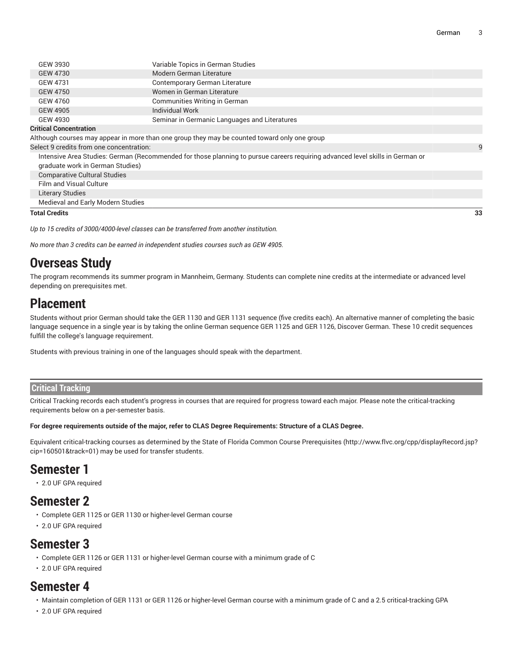| GEW 3930                                                                                     | Variable Topics in German Studies             |  |  |
|----------------------------------------------------------------------------------------------|-----------------------------------------------|--|--|
| GEW 4730                                                                                     | Modern German Literature                      |  |  |
| GEW 4731                                                                                     | Contemporary German Literature                |  |  |
| <b>GEW 4750</b>                                                                              | Women in German Literature                    |  |  |
| GEW 4760                                                                                     | Communities Writing in German                 |  |  |
| GEW 4905                                                                                     | <b>Individual Work</b>                        |  |  |
| GEW 4930                                                                                     | Seminar in Germanic Languages and Literatures |  |  |
| <b>Critical Concentration</b>                                                                |                                               |  |  |
| Although courses may appear in more than one group they may be counted toward only one group |                                               |  |  |

Select 9 credits from one concentration:

Intensive Area Studies: German (Recommended for those planning to pursue careers requiring advanced level skills in German or graduate work in German Studies) Comparative Cultural Studies

Film and Visual Culture

Literary Studies

Medieval and Early Modern Studies

**Total Credits 33**

*Up to 15 credits of 3000/4000-level classes can be transferred from another institution.*

*No more than 3 credits can be earned in independent studies courses such as GEW 4905.*

## **Overseas Study**

The program recommends its summer program in Mannheim, Germany. Students can complete nine credits at the intermediate or advanced level depending on prerequisites met.

## **Placement**

Students without prior German should take the GER 1130 and GER 1131 sequence (five credits each). An alternative manner of completing the basic language sequence in a single year is by taking the online German sequence GER 1125 and GER 1126, Discover German. These 10 credit sequences fulfill the college's language requirement.

Students with previous training in one of the languages should speak with the department.

#### **Critical Tracking**

Critical Tracking records each student's progress in courses that are required for progress toward each major. Please note the critical-tracking requirements below on a per-semester basis.

#### For degree requirements outside of the major, refer to CLAS Degree Requirements: Structure of a CLAS Degree.

Equivalent critical-tracking courses as determined by the State of Florida Common Course [Prerequisites](http://www.flvc.org/cpp/displayRecord.jsp?cip=160501&track=01) ([http://www.flvc.org/cpp/displayRecord.jsp?](http://www.flvc.org/cpp/displayRecord.jsp?cip=160501&track=01) [cip=160501&track=01\)](http://www.flvc.org/cpp/displayRecord.jsp?cip=160501&track=01) may be used for transfer students.

### **Semester 1**

• 2.0 UF GPA required

## **Semester 2**

- Complete GER 1125 or GER 1130 or higher-level German course
- 2.0 UF GPA required

### **Semester 3**

- Complete GER 1126 or GER 1131 or higher-level German course with a minimum grade of C
- 2.0 UF GPA required

### **Semester 4**

- Maintain completion of GER 1131 or GER 1126 or higher-level German course with a minimum grade of C and a 2.5 critical-tracking GPA
- 2.0 UF GPA required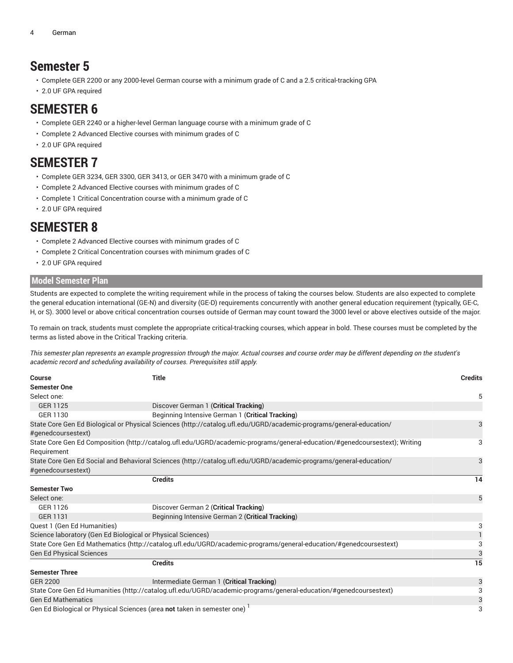## **Semester 5**

- Complete GER 2200 or any 2000-level German course with a minimum grade of C and a 2.5 critical-tracking GPA
- 2.0 UF GPA required

### **SEMESTER 6**

- Complete GER 2240 or a higher-level German language course with a minimum grade of C
- Complete 2 Advanced Elective courses with minimum grades of C
- 2.0 UF GPA required

### **SEMESTER 7**

- Complete GER 3234, GER 3300, GER 3413, or GER 3470 with a minimum grade of C
- Complete 2 Advanced Elective courses with minimum grades of C
- Complete 1 Critical Concentration course with a minimum grade of C
- 2.0 UF GPA required

## **SEMESTER 8**

- Complete 2 Advanced Elective courses with minimum grades of C
- Complete 2 Critical Concentration courses with minimum grades of C
- 2.0 UF GPA required

#### **Model Semester Plan**

Students are expected to complete the writing requirement while in the process of taking the courses below. Students are also expected to complete the general education international (GE-N) and diversity (GE-D) requirements concurrently with another general education requirement (typically, GE-C, H, or S). 3000 level or above critical concentration courses outside of German may count toward the 3000 level or above electives outside of the major.

To remain on track, students must complete the appropriate critical-tracking courses, which appear in bold. These courses must be completed by the terms as listed above in the Critical Tracking criteria.

This semester plan represents an example progression through the major. Actual courses and course order may be different depending on the student's *academic record and scheduling availability of courses. Prerequisites still apply.*

| <b>Course</b><br><b>Semester One</b>                        | <b>Title</b>                                                                                                               | <b>Credits</b> |
|-------------------------------------------------------------|----------------------------------------------------------------------------------------------------------------------------|----------------|
| Select one:                                                 |                                                                                                                            | 5              |
| GER 1125                                                    | Discover German 1 (Critical Tracking)                                                                                      |                |
| GER 1130                                                    | Beginning Intensive German 1 (Critical Tracking)                                                                           |                |
| #genedcoursestext)                                          | State Core Gen Ed Biological or Physical Sciences (http://catalog.ufl.edu/UGRD/academic-programs/general-education/        | 3              |
| Requirement                                                 | State Core Gen Ed Composition (http://catalog.ufl.edu/UGRD/academic-programs/general-education/#genedcoursestext); Writing | 3              |
|                                                             | State Core Gen Ed Social and Behavioral Sciences (http://catalog.ufl.edu/UGRD/academic-programs/general-education/         | 3              |
| #genedcoursestext)                                          |                                                                                                                            |                |
|                                                             | <b>Credits</b>                                                                                                             | 14             |
| <b>Semester Two</b>                                         |                                                                                                                            |                |
| Select one:                                                 |                                                                                                                            | 5              |
| GER 1126                                                    | Discover German 2 (Critical Tracking)                                                                                      |                |
| <b>GER 1131</b>                                             | Beginning Intensive German 2 (Critical Tracking)                                                                           |                |
| Quest 1 (Gen Ed Humanities)                                 |                                                                                                                            | 3              |
| Science laboratory (Gen Ed Biological or Physical Sciences) |                                                                                                                            |                |
|                                                             | State Core Gen Ed Mathematics (http://catalog.ufl.edu/UGRD/academic-programs/general-education/#genedcoursestext)          | 3              |
| <b>Gen Ed Physical Sciences</b>                             |                                                                                                                            | 3              |
|                                                             | <b>Credits</b>                                                                                                             | 15             |
| <b>Semester Three</b>                                       |                                                                                                                            |                |
| GER 2200                                                    | Intermediate German 1 (Critical Tracking)                                                                                  | 3              |
|                                                             | State Core Gen Ed Humanities (http://catalog.ufl.edu/UGRD/academic-programs/general-education/#genedcoursestext)           | 3              |
| <b>Gen Ed Mathematics</b>                                   |                                                                                                                            | 3              |
|                                                             | Gen Ed Biological or Physical Sciences (area not taken in semester one)                                                    | 3              |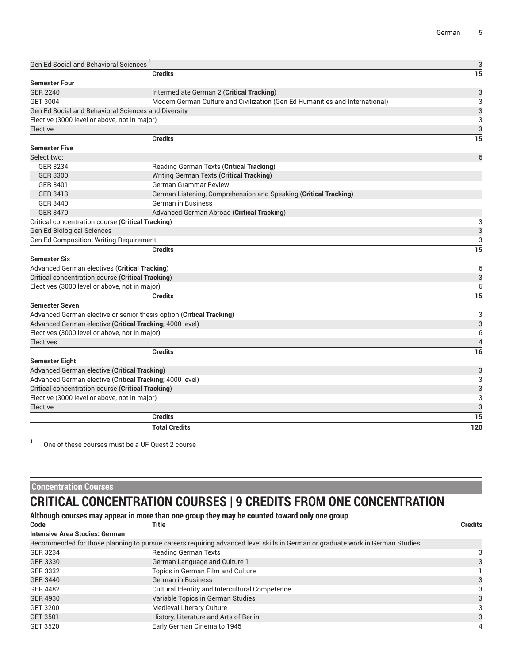| <b>Gen Ed Social and Behavioral Sciences</b>                                                    | 3              |
|-------------------------------------------------------------------------------------------------|----------------|
| <b>Credits</b>                                                                                  | 15             |
| <b>Semester Four</b>                                                                            |                |
| <b>GER 2240</b><br>Intermediate German 2 (Critical Tracking)                                    | 3              |
| Modern German Culture and Civilization (Gen Ed Humanities and International)<br><b>GET 3004</b> | 3              |
| <b>Gen Ed Social and Behavioral Sciences and Diversity</b>                                      | 3              |
| Elective (3000 level or above, not in major)                                                    | 3              |
| Elective                                                                                        | 3              |
| <b>Credits</b>                                                                                  | 15             |
| <b>Semester Five</b>                                                                            |                |
| Select two:                                                                                     | 6              |
| GER 3234<br>Reading German Texts (Critical Tracking)                                            |                |
| Writing German Texts (Critical Tracking)<br><b>GER 3300</b>                                     |                |
| GER 3401<br><b>German Grammar Review</b>                                                        |                |
| GER 3413<br>German Listening, Comprehension and Speaking (Critical Tracking)                    |                |
| <b>GER 3440</b><br><b>German in Business</b>                                                    |                |
| <b>GER 3470</b><br>Advanced German Abroad (Critical Tracking)                                   |                |
| Critical concentration course (Critical Tracking)                                               | 3              |
| <b>Gen Ed Biological Sciences</b>                                                               | 3              |
| Gen Ed Composition; Writing Requirement                                                         | 3              |
| <b>Credits</b>                                                                                  | 15             |
| <b>Semester Six</b>                                                                             |                |
| Advanced German electives (Critical Tracking)                                                   | 6              |
| Critical concentration course (Critical Tracking)                                               | 3              |
| Electives (3000 level or above, not in major)                                                   | 6              |
| <b>Credits</b>                                                                                  | 15             |
| <b>Semester Seven</b>                                                                           |                |
| Advanced German elective or senior thesis option (Critical Tracking)                            | 3              |
| Advanced German elective (Critical Tracking; 4000 level)                                        | 3              |
| Electives (3000 level or above, not in major)                                                   | 6              |
| <b>Electives</b>                                                                                | $\overline{4}$ |
| <b>Credits</b>                                                                                  | 16             |
| Semester Eight                                                                                  |                |
| Advanced German elective (Critical Tracking)                                                    | 3              |
| Advanced German elective (Critical Tracking; 4000 level)                                        | 3              |
| Critical concentration course (Critical Tracking)                                               | 3              |
| Elective (3000 level or above, not in major)                                                    | 3              |
| Elective                                                                                        | 3              |
| <b>Credits</b>                                                                                  | 15             |
| <b>Total Credits</b>                                                                            | 120            |

1 One of these courses must be a UF Quest 2 course

#### **Concentration Courses**

# **CRITICAL CONCENTRATION COURSES | 9 CREDITS FROM ONE CONCENTRATION**

| Although courses may appear in more than one group they may be counted toward only one group |  |  |
|----------------------------------------------------------------------------------------------|--|--|
|                                                                                              |  |  |

| Code                           | Title                                                                                                                         | <b>Credits</b> |
|--------------------------------|-------------------------------------------------------------------------------------------------------------------------------|----------------|
| Intensive Area Studies: German |                                                                                                                               |                |
|                                | Recommended for those planning to pursue careers requiring advanced level skills in German or graduate work in German Studies |                |
| GER 3234                       | <b>Reading German Texts</b>                                                                                                   |                |
| GER 3330                       | German Language and Culture 1                                                                                                 | 3              |
| GER 3332                       | Topics in German Film and Culture                                                                                             |                |
| GER 3440                       | <b>German in Business</b>                                                                                                     | 3              |
| <b>GER 4482</b>                | Cultural Identity and Intercultural Competence                                                                                | 3              |
| GER 4930                       | Variable Topics in German Studies                                                                                             | 3              |
| GET 3200                       | Medieval Literary Culture                                                                                                     | 3              |
| GET 3501                       | History, Literature and Arts of Berlin                                                                                        | 3              |
| GET 3520                       | Early German Cinema to 1945                                                                                                   | 4              |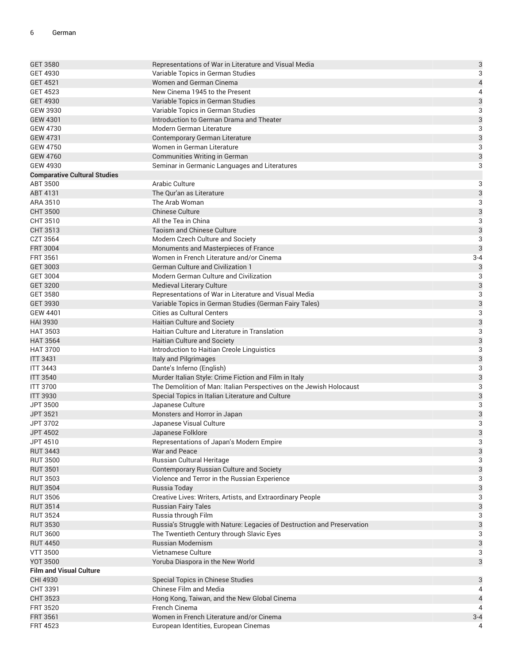| <b>GET 3580</b>                     | Representations of War in Literature and Visual Media                   | $\mathbf{3}$              |
|-------------------------------------|-------------------------------------------------------------------------|---------------------------|
| <b>GET 4930</b>                     | Variable Topics in German Studies                                       | 3                         |
| <b>GET 4521</b>                     | Women and German Cinema                                                 | $\overline{\mathcal{L}}$  |
| <b>GET 4523</b>                     | New Cinema 1945 to the Present                                          | 4                         |
| <b>GET 4930</b>                     | Variable Topics in German Studies                                       | 3                         |
| <b>GEW 3930</b>                     | Variable Topics in German Studies                                       | 3                         |
| <b>GEW 4301</b>                     | Introduction to German Drama and Theater                                | $\mathfrak{B}$            |
| <b>GEW 4730</b>                     | Modern German Literature                                                | $\sqrt{3}$                |
| <b>GEW 4731</b>                     | Contemporary German Literature                                          | $\mathbf{3}$              |
| <b>GEW 4750</b>                     | Women in German Literature                                              | 3                         |
| <b>GEW 4760</b>                     | Communities Writing in German                                           | 3                         |
| <b>GEW 4930</b>                     | Seminar in Germanic Languages and Literatures                           | 3                         |
| <b>Comparative Cultural Studies</b> |                                                                         |                           |
| ABT 3500                            | Arabic Culture                                                          | 3                         |
| ABT 4131                            | The Qur'an as Literature                                                | $\mathbf{3}$              |
| ARA 3510                            | The Arab Woman                                                          | 3                         |
| <b>CHT 3500</b>                     | <b>Chinese Culture</b>                                                  | 3                         |
| CHT 3510                            | All the Tea in China                                                    | 3                         |
| CHT 3513                            | <b>Taoism and Chinese Culture</b>                                       | $\mathfrak{B}$            |
| CZT 3564                            | Modern Czech Culture and Society                                        | 3                         |
| <b>FRT 3004</b>                     | Monuments and Masterpieces of France                                    | 3                         |
| <b>FRT 3561</b>                     | Women in French Literature and/or Cinema                                | $3 - 4$                   |
| <b>GET 3003</b>                     | <b>German Culture and Civilization 1</b>                                | 3                         |
| <b>GET 3004</b>                     | Modern German Culture and Civilization                                  | 3                         |
| <b>GET 3200</b>                     | <b>Medieval Literary Culture</b>                                        | $\mathfrak{B}$            |
| <b>GET 3580</b>                     | Representations of War in Literature and Visual Media                   | 3                         |
| <b>GET 3930</b>                     | Variable Topics in German Studies (German Fairy Tales)                  | $\mathbf{3}$              |
| <b>GEW 4401</b>                     | <b>Cities as Cultural Centers</b>                                       | 3                         |
| <b>HAI 3930</b>                     | <b>Haitian Culture and Society</b>                                      | 3                         |
| <b>HAT 3503</b>                     | Haitian Culture and Literature in Translation                           | 3                         |
| <b>HAT 3564</b>                     | Haitian Culture and Society                                             | 3                         |
| <b>HAT 3700</b>                     | Introduction to Haitian Creole Linguistics                              | $\sqrt{3}$                |
| <b>ITT 3431</b>                     | Italy and Pilgrimages                                                   | $\mathbf{3}$              |
| <b>ITT 3443</b>                     | Dante's Inferno (English)                                               | 3                         |
| <b>ITT 3540</b>                     | Murder Italian Style: Crime Fiction and Film in Italy                   | 3                         |
| <b>ITT 3700</b>                     | The Demolition of Man: Italian Perspectives on the Jewish Holocaust     | 3                         |
| <b>ITT 3930</b>                     | Special Topics in Italian Literature and Culture                        | 3                         |
| JPT 3500                            | Japanese Culture                                                        | $\sqrt{3}$                |
| JPT 3521                            | Monsters and Horror in Japan                                            | $\mathbf{3}$              |
| JPT 3702                            | Japanese Visual Culture                                                 | 3                         |
| <b>JPT 4502</b>                     | Japanese Folklore                                                       | 3                         |
| JPT 4510                            | Representations of Japan's Modern Empire                                | 3                         |
| <b>RUT 3443</b>                     | War and Peace                                                           | $\mathsf 3$               |
| <b>RUT 3500</b>                     | Russian Cultural Heritage                                               | 3                         |
| <b>RUT 3501</b>                     | Contemporary Russian Culture and Society                                | $\ensuremath{\mathsf{3}}$ |
| <b>RUT 3503</b>                     | Violence and Terror in the Russian Experience                           | 3                         |
| <b>RUT 3504</b>                     | Russia Today                                                            | $\ensuremath{\mathsf{3}}$ |
| <b>RUT 3506</b>                     | Creative Lives: Writers, Artists, and Extraordinary People              | 3                         |
| <b>RUT 3514</b>                     | <b>Russian Fairy Tales</b>                                              | $\ensuremath{\mathsf{3}}$ |
| <b>RUT 3524</b>                     | Russia through Film                                                     | 3                         |
| <b>RUT 3530</b>                     | Russia's Struggle with Nature: Legacies of Destruction and Preservation | $\ensuremath{\mathsf{3}}$ |
| <b>RUT 3600</b>                     | The Twentieth Century through Slavic Eyes                               | 3                         |
| <b>RUT 4450</b>                     | Russian Modernism                                                       | 3                         |
| <b>VTT 3500</b>                     | Vietnamese Culture                                                      | 3                         |
| <b>YOT 3500</b>                     | Yoruba Diaspora in the New World                                        | $\ensuremath{\mathsf{3}}$ |
| <b>Film and Visual Culture</b>      |                                                                         |                           |
| CHI 4930                            | Special Topics in Chinese Studies                                       | 3                         |
| CHT 3391                            | <b>Chinese Film and Media</b>                                           | 4                         |
| <b>CHT 3523</b>                     | Hong Kong, Taiwan, and the New Global Cinema                            | $\overline{a}$            |
| <b>FRT 3520</b>                     | French Cinema                                                           | 4                         |
| <b>FRT 3561</b>                     | Women in French Literature and/or Cinema                                | $3 - 4$                   |
| <b>FRT 4523</b>                     | European Identities, European Cinemas                                   | 4                         |
|                                     |                                                                         |                           |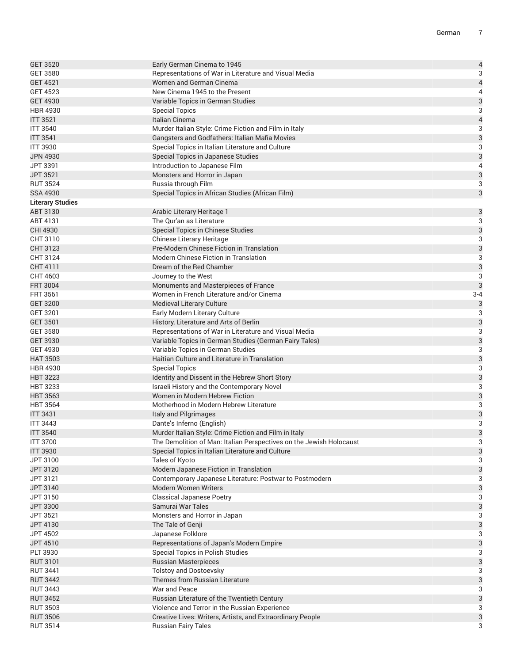| <b>GET 3520</b>         | Early German Cinema to 1945                                         | $\overline{\mathcal{L}}$  |
|-------------------------|---------------------------------------------------------------------|---------------------------|
| <b>GET 3580</b>         | Representations of War in Literature and Visual Media               | $\overline{3}$            |
| <b>GET 4521</b>         | Women and German Cinema                                             | $\overline{\mathcal{L}}$  |
| <b>GET 4523</b>         | New Cinema 1945 to the Present                                      | 4                         |
| <b>GET 4930</b>         | Variable Topics in German Studies                                   |                           |
| <b>HBR 4930</b>         | <b>Special Topics</b>                                               | $\frac{3}{3}$             |
| <b>ITT 3521</b>         | Italian Cinema                                                      | $\overline{\mathcal{L}}$  |
| <b>ITT 3540</b>         | Murder Italian Style: Crime Fiction and Film in Italy               | 3                         |
| <b>ITT 3541</b>         | Gangsters and Godfathers: Italian Mafia Movies                      | 3                         |
| <b>ITT 3930</b>         | Special Topics in Italian Literature and Culture                    | 3                         |
| <b>JPN 4930</b>         | Special Topics in Japanese Studies                                  | 3                         |
| JPT 3391                | Introduction to Japanese Film                                       | 4                         |
| JPT 3521                | Monsters and Horror in Japan                                        |                           |
| <b>RUT 3524</b>         | Russia through Film                                                 | $\frac{3}{3}$             |
| <b>SSA 4930</b>         | Special Topics in African Studies (African Film)                    | 3                         |
| <b>Literary Studies</b> |                                                                     |                           |
| ABT 3130                | Arabic Literary Heritage 1                                          | 3                         |
| ABT 4131                | The Qur'an as Literature                                            | $\overline{3}$            |
| CHI 4930                | <b>Special Topics in Chinese Studies</b>                            | 3                         |
| CHT 3110                | Chinese Literary Heritage                                           | 3                         |
| CHT 3123                | Pre-Modern Chinese Fiction in Translation                           | 3                         |
| CHT 3124                | Modern Chinese Fiction in Translation                               | 3                         |
| CHT 4111                | Dream of the Red Chamber                                            | 3                         |
| CHT 4603                | Journey to the West                                                 | $\overline{3}$            |
| <b>FRT 3004</b>         | Monuments and Masterpieces of France                                | 3                         |
| <b>FRT 3561</b>         | Women in French Literature and/or Cinema                            | $3 - 4$                   |
| <b>GET 3200</b>         | Medieval Literary Culture                                           | $\mathsf{3}$              |
| GET 3201                | Early Modern Literary Culture                                       | $\ensuremath{\mathsf{3}}$ |
| <b>GET 3501</b>         | History, Literature and Arts of Berlin                              | 3                         |
| <b>GET 3580</b>         | Representations of War in Literature and Visual Media               | $\overline{3}$            |
| <b>GET 3930</b>         | Variable Topics in German Studies (German Fairy Tales)              | 3                         |
| <b>GET 4930</b>         | Variable Topics in German Studies                                   | $\overline{3}$            |
| <b>HAT 3503</b>         | Haitian Culture and Literature in Translation                       | 3                         |
| <b>HBR 4930</b>         | <b>Special Topics</b>                                               | 3                         |
| <b>HBT 3223</b>         | Identity and Dissent in the Hebrew Short Story                      | $\mathsf{3}$              |
| <b>HBT 3233</b>         | Israeli History and the Contemporary Novel                          | $\overline{3}$            |
| <b>HBT 3563</b>         | Women in Modern Hebrew Fiction                                      | 3                         |
| <b>HBT 3564</b>         | Motherhood in Modern Hebrew Literature                              | 3                         |
| <b>ITT 3431</b>         | Italy and Pilgrimages                                               | 3                         |
| <b>ITT 3443</b>         | Dante's Inferno (English)                                           | 3                         |
| <b>ITT 3540</b>         | Murder Italian Style: Crime Fiction and Film in Italy               | 3                         |
| <b>ITT 3700</b>         | The Demolition of Man: Italian Perspectives on the Jewish Holocaust | 3                         |
| <b>ITT 3930</b>         | Special Topics in Italian Literature and Culture                    | 3                         |
| JPT 3100                | Tales of Kyoto                                                      | 3                         |
| JPT 3120                | Modern Japanese Fiction in Translation                              | 3                         |
| JPT 3121                | Contemporary Japanese Literature: Postwar to Postmodern             | 3                         |
| JPT 3140                | <b>Modern Women Writers</b>                                         | 3                         |
| JPT 3150                | <b>Classical Japanese Poetry</b>                                    | 3                         |
| JPT 3300                | Samurai War Tales                                                   | $\ensuremath{\mathsf{3}}$ |
| JPT 3521                | Monsters and Horror in Japan                                        | 3                         |
| JPT 4130                | The Tale of Genji                                                   | 3                         |
| <b>JPT 4502</b>         | Japanese Folklore                                                   | 3                         |
| JPT 4510                | Representations of Japan's Modern Empire                            | 3                         |
| PLT 3930                | Special Topics in Polish Studies                                    | 3                         |
| <b>RUT 3101</b>         | <b>Russian Masterpieces</b>                                         | $\ensuremath{\mathsf{3}}$ |
| <b>RUT 3441</b>         | <b>Tolstoy and Dostoevsky</b>                                       | 3                         |
| <b>RUT 3442</b>         | Themes from Russian Literature                                      | 3                         |
| <b>RUT 3443</b>         | War and Peace                                                       | 3                         |
| <b>RUT 3452</b>         | Russian Literature of the Twentieth Century                         | 3                         |
| <b>RUT 3503</b>         | Violence and Terror in the Russian Experience                       | 3                         |
| <b>RUT 3506</b>         | Creative Lives: Writers, Artists, and Extraordinary People          | $\ensuremath{\mathsf{3}}$ |
| <b>RUT 3514</b>         | <b>Russian Fairy Tales</b>                                          | 3                         |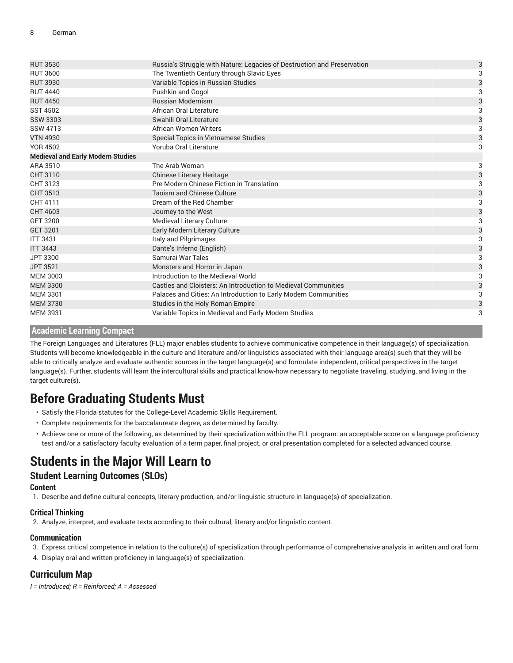| <b>RUT 3530</b>                          | Russia's Struggle with Nature: Legacies of Destruction and Preservation | 3 |
|------------------------------------------|-------------------------------------------------------------------------|---|
| <b>RUT 3600</b>                          | The Twentieth Century through Slavic Eyes                               | 3 |
| <b>RUT 3930</b>                          | Variable Topics in Russian Studies                                      | 3 |
| <b>RUT 4440</b>                          | Pushkin and Gogol                                                       | 3 |
| <b>RUT 4450</b>                          | <b>Russian Modernism</b>                                                | 3 |
| <b>SST 4502</b>                          | African Oral Literature                                                 | 3 |
| <b>SSW 3303</b>                          | Swahili Oral Literature                                                 | 3 |
| <b>SSW 4713</b>                          | <b>African Women Writers</b>                                            | 3 |
| <b>VTN 4930</b>                          | Special Topics in Vietnamese Studies                                    | 3 |
| <b>YOR 4502</b>                          | Yoruba Oral Literature                                                  | 3 |
| <b>Medieval and Early Modern Studies</b> |                                                                         |   |
| ARA 3510                                 | The Arab Woman                                                          | 3 |
| CHT 3110                                 | Chinese Literary Heritage                                               | 3 |
| CHT 3123                                 | Pre-Modern Chinese Fiction in Translation                               | 3 |
| CHT 3513                                 | <b>Taoism and Chinese Culture</b>                                       | 3 |
| CHT 4111                                 | Dream of the Red Chamber                                                | 3 |
| CHT 4603                                 | Journey to the West                                                     | 3 |
| <b>GET 3200</b>                          | Medieval Literary Culture                                               | 3 |
| GET 3201                                 | Early Modern Literary Culture                                           | 3 |
| <b>ITT 3431</b>                          | Italy and Pilgrimages                                                   | 3 |
| <b>ITT 3443</b>                          | Dante's Inferno (English)                                               | 3 |
| JPT 3300                                 | Samurai War Tales                                                       | 3 |
| <b>JPT 3521</b>                          | Monsters and Horror in Japan                                            | 3 |
| <b>MEM 3003</b>                          | Introduction to the Medieval World                                      |   |
| <b>MEM 3300</b>                          | Castles and Cloisters: An Introduction to Medieval Communities          | 3 |
| <b>MEM 3301</b>                          | Palaces and Cities: An Introduction to Early Modern Communities         | 3 |
| <b>MEM 3730</b>                          | Studies in the Holy Roman Empire                                        | 3 |
| <b>MEM 3931</b>                          | Variable Topics in Medieval and Early Modern Studies                    | 3 |

#### **Academic Learning Compact**

The Foreign Languages and Literatures (FLL) major enables students to achieve communicative competence in their language(s) of specialization. Students will become knowledgeable in the culture and literature and/or linguistics associated with their language area(s) such that they will be able to critically analyze and evaluate authentic sources in the target language(s) and formulate independent, critical perspectives in the target language(s). Further, students will learn the intercultural skills and practical know-how necessary to negotiate traveling, studying, and living in the target culture(s).

## **Before Graduating Students Must**

- Satisfy the Florida statutes for the College-Level Academic Skills Requirement.
- Complete requirements for the baccalaureate degree, as determined by faculty.
- Achieve one or more of the following, as determined by their specialization within the FLL program: an acceptable score on a language proficiency test and/or a satisfactory faculty evaluation of a term paper, final project, or oral presentation completed for a selected advanced course.

## **Students in the Major Will Learn to**

#### **Student Learning Outcomes (SLOs)**

#### **Content**

1. Describe and define cultural concepts, literary production, and/or linguistic structure in language(s) of specialization.

#### **Critical Thinking**

2. Analyze, interpret, and evaluate texts according to their cultural, literary and/or linguistic content.

#### **Communication**

3. Express critical competence in relation to the culture(s) of specialization through performance of comprehensive analysis in written and oral form.

4. Display oral and written proficiency in language(s) of specialization.

### **Curriculum Map**

*I = Introduced; R = Reinforced; A = Assessed*